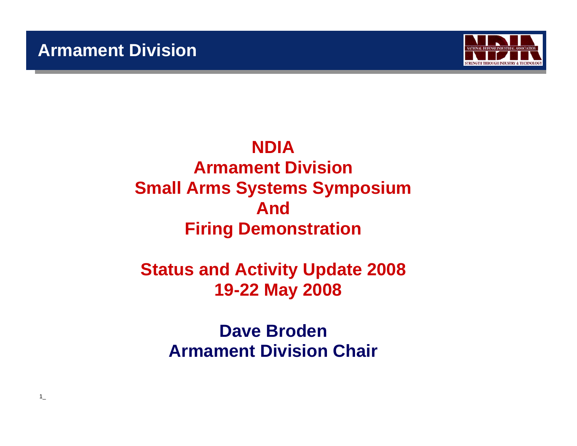$1$ 



# **NDIAArmament DivisionSmall Arms Systems Symposium AndFiring Demonstration**

# **Status and Activity Update 2008 19-22 May 2008**

**Dave BrodenArmament Division Chair**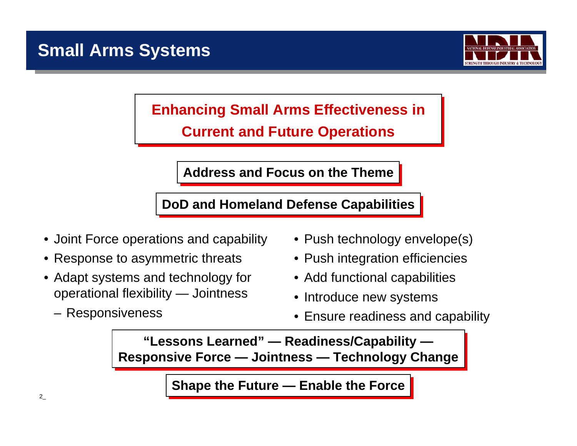

# **Enhancing Small Arms Effectiveness in Enhancing Small Arms Effectiveness in Current and Future Operations Current and Future Operations**

**Address and Focus on the Theme Address and Focus on the Theme**

**DoD and Homeland Defense Capabilities DoD and Homeland Defense Capabilities**

- Joint Force operations and capability
- Response to asymmetric threats
- Adapt systems and technology for operational flexibility — Jointness
	- Responsiveness
- Push technology envelope(s)
- Push integration efficiencies
- Add functional capabilities
- Introduce new systems
- Ensure readiness and capability

**"Lessons Learned" — Readiness/Capability — "Lessons Learned" — Readiness/Capability — Responsive Force — Jointness — Technology Change Responsive Force — Jointness — Technology Change**

**Shape the Future — Enable the Force**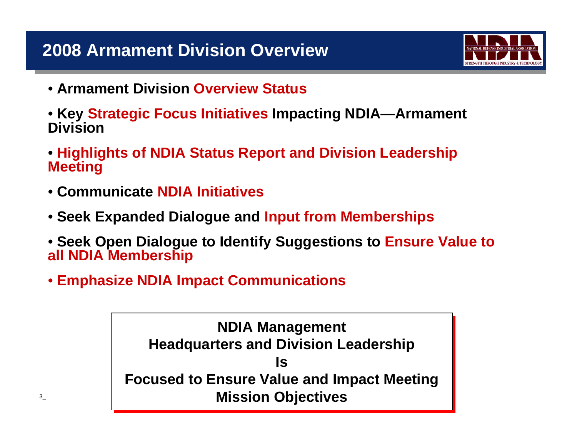

- **Armament Division Overview Status**
- **Key Strategic Focus Initiatives Impacting NDIA—Armament Division**
- **Highlights of NDIA Status Report and Division Leadership Meeting**
- **Communicate NDIA Initiatives**
- **Seek Expanded Dialogue and Input from Memberships**
- **Seek Open Dialogue to Identify Suggestions to Ensure Value to all NDIA Membership**
- **Emphasize NDIA Impact Communications**

**NDIA Management NDIA Management Headquarters and Division Leadership Headquarters and Division Leadership Is Is Focused to Ensure Value and Impact Meeting Focused to Ensure Value and Impact Meeting Mission Objectives Mission Objectives**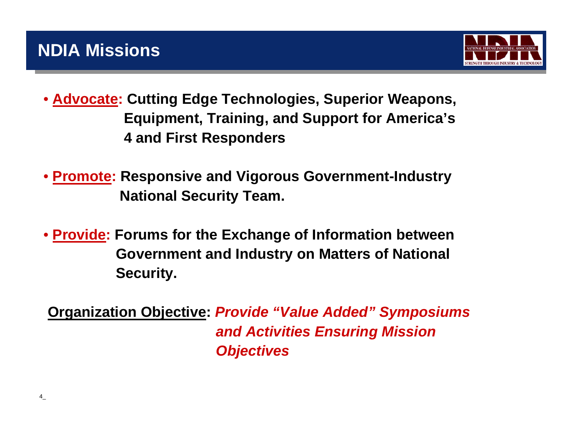

- **Advocate: Cutting Edge Technologies, Superior Weapons, Equipment, Training, and Support for America's 4 and First Responders**
- • **Promote: Responsive and Vigorous Government-Industry National Security Team.**
- • **Provide: Forums for the Exchange of Information between Government and Industry on Matters of National Security.**

**Organization Objective:** *Provide "Value Added" Symposiums and Activities Ensuring Mission Objectives*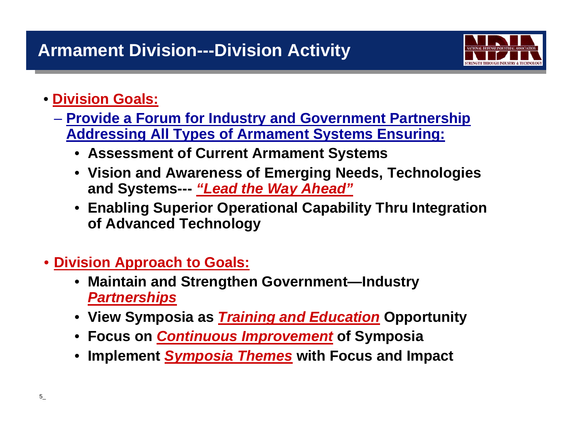

## • **Division Goals:**

- **Provide a Forum for Industry and Government Partnership Addressing All Types of Armament Systems Ensuring:**
	- **Assessment of Current Armament Systems**
	- **Vision and Awareness of Emerging Needs, Technologies and Systems---** *"Lead the Way Ahead"*
	- **Enabling Superior Operational Capability Thru Integration of Advanced Technology**
- **Division Approach to Goals:**
	- **Maintain and Strengthen Government—Industry**  *Partnerships*
	- **View Symposia as** *Training and Education* **Opportunity**
	- **Focus on** *Continuous Improvement* **of Symposia**
	- **Implement** *Symposia Themes* **with Focus and Impact**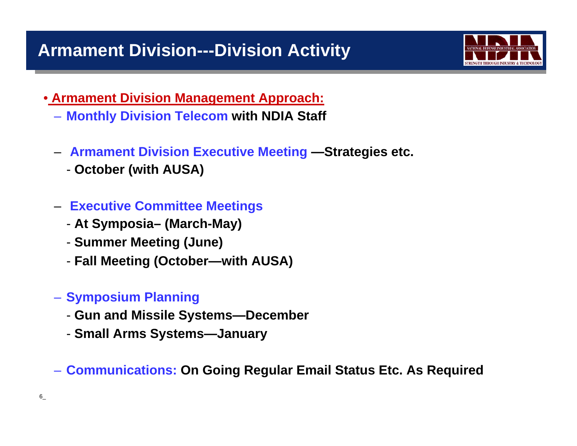# **Armament Division---Division Activity**



- **Armament Division Management Approach:**
	- **Monthly Division Telecom with NDIA Staff**
	- **Armament Division Executive Meeting —Strategies etc.**
		- **October (with AUSA)**
	- **Executive Committee Meetings**
		- **At Symposia– (March-May)**
		- **Summer Meeting (June)**
		- **Fall Meeting (October—with AUSA)**
	- **Symposium Planning**
		- **Gun and Missile Systems—December**
		- **Small Arms Systems—January**

– **Communications: On Going Regular Email Status Etc. As Required**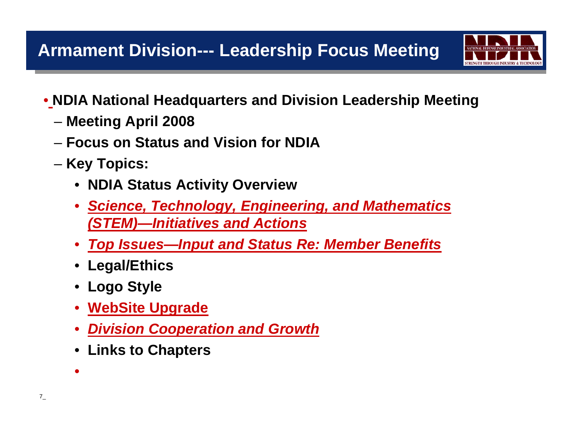

- **NDIA National Headquarters and Division Leadership Meeting**
	- **Meeting April 2008**
	- **Focus on Status and Vision for NDIA**
	- Key Topics:
		- **NDIA Status Activity Overview**
		- *Science, Technology, Engineering, and Mathematics (STEM)—Initiatives and Actions*
		- *Top Issues—Input and Status Re: Member Benefits*
		- **Legal/Ethics**
		- **Logo Style**
		- **WebSite Upgrade**
		- *Division Cooperation and Growth*
		- **Links to Chapters**

•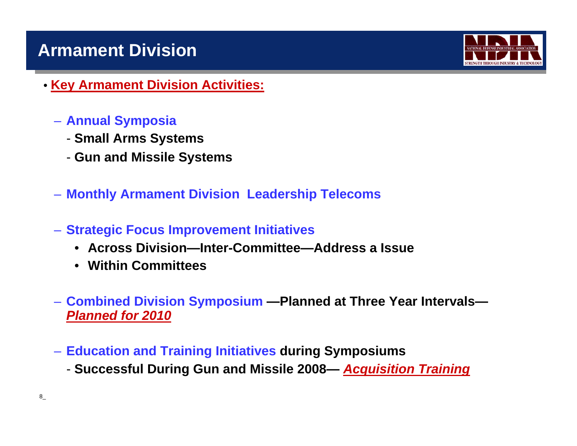# **Armament Division**



- **Key Armament Division Activities:**
	- **Annual Symposia**
		- **Small Arms Systems**
		- **Gun and Missile Systems**
	- **Monthly Armament Division Leadership Telecoms**
	- **Strategic Focus Improvement Initiatives**
		- **Across Division—Inter-Committee—Address a Issue**
		- **Within Committees**
	- **Combined Division Symposium —Planned at Three Year Intervals—** *Planned for 2010*
	- **Education and Training Initiatives during Symposiums**
		- **Successful During Gun and Missile 2008—** *Acquisition Training*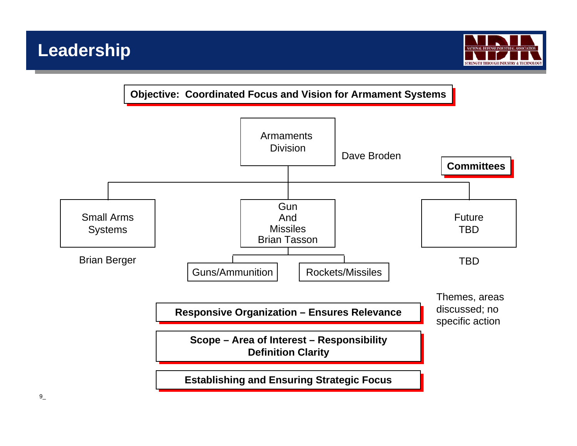

**Objective: Coordinated Focus and Vision for Armament Systems** 

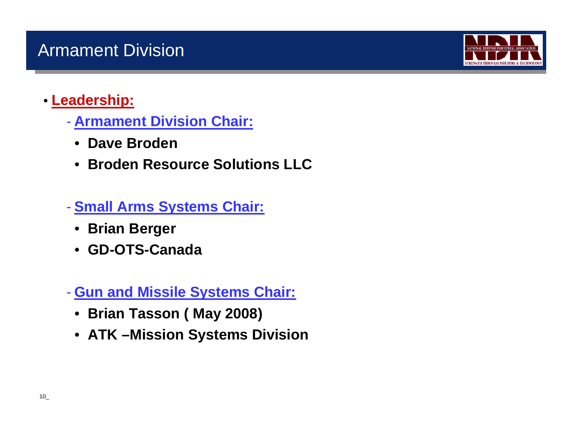

### • **Leadership:**

- **Armament Division Chair:**
	- **Dave Broden**
	- **Broden Resource Solutions LLC**
- $\mathcal{L}_{\mathcal{A}}$  **Small Arms Systems Chair:**
	- **Brian Berger**
	- **GD-OTS-Canada**
- **Gun and Missile Systems Chair:**
	- **Brian Tasson ( May 2008)**
	- **ATK –Mission Systems Division**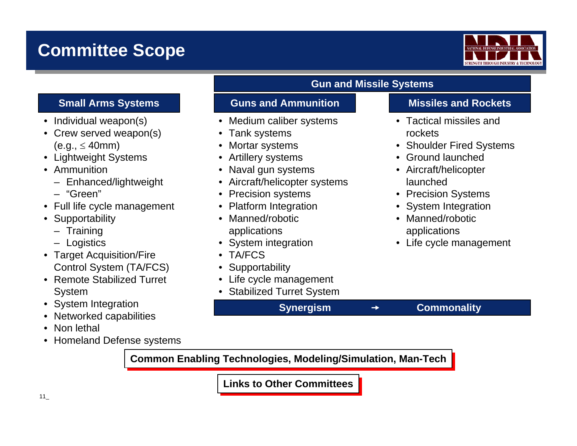# **Committee Scope**



- Individual weapon(s)
- Crew served weapon(s)  $(e.q., \leq 40mm)$
- Lightweight Systems
- Ammunition
	- Enhanced/lightweight
	- "Green"
- Full life cycle management
- Supportability
	- Training
	- Logistics
- Target Acquisition/Fire Control System (TA/FCS)
- Remote Stabilized Turret System
- System Integration
- •Networked capabilities
- •Non lethal
- •Homeland Defense systems

#### **Gun and Missile Systems**

**Synergism** → Commonality

#### **Small Arms Systems <b>Guns and Ammunition Missiles and Rockets**

- Medium caliber systems
- Tank systems
- Mortar systems
- Artillery systems
- Naval gun systems
- Aircraft/helicopter systems
- •Precision systems
- $\bullet$ Platform Integration
- Manned/robotic applications
- •System integration
- •TA/FCS
- •**Supportability**
- Life cycle management
- Stabilized Turret System

- Tactical missiles and rockets
- Shoulder Fired Systems
- Ground launched
- Aircraft/helicopter launched
- Precision Systems
- System Integration
- Manned/robotic applications
- Life cycle management

**Common Enabling Technologies, Modeling/Simulation, Man-Tech** 

**Links to Other Committees Links to Other Committees**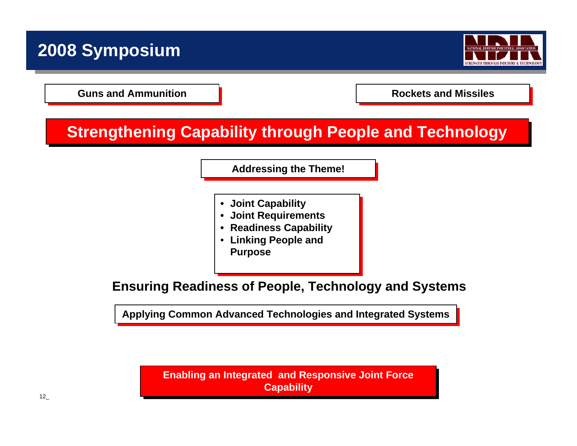# **2008 Symposium**



**Guns and Ammunition Guns and Ammunition**

**Rockets and Missiles Rockets and Missiles**

# **Strengthening Capability through People and Technology**

**Addressing the Theme! Addressing the Theme!**

- **• Joint Capability • Joint Capability**
- **• Joint Requirements • Joint Requirements**
- **• Readiness Capability • Readiness Capability**
- **Linking People and Linking People and Purpose Purpose**

**Ensuring Readiness of People, Technology and Systems**

**Applying Common Advanced Technologies and Integrated Systems Applying Common Advanced Technologies and Integrated Systems**

**Enabling an Integrated and Responsive Joint Force Enabling an Integrated and Responsive Joint Force Capability Capability**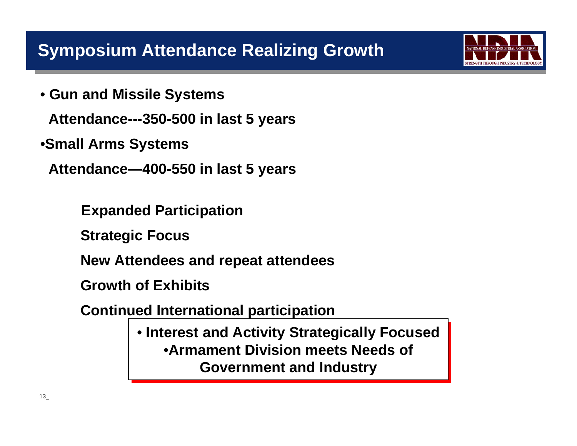• **Gun and Missile Systems**

**Attendance---350-500 in last 5 years**

•**Small Arms Systems**

**Attendance—400-550 in last 5 years**

**Expanded Participation**

**Strategic Focus**

**New Attendees and repeat attendees**

**Growth of Exhibits**

**Continued International participation**

• **Interest and Activity Strategically Focused** • **Interest and Activity Strategically Focused** •**Armament Division meets Needs of** •**Armament Division meets Needs of Government and Industry Government and Industry**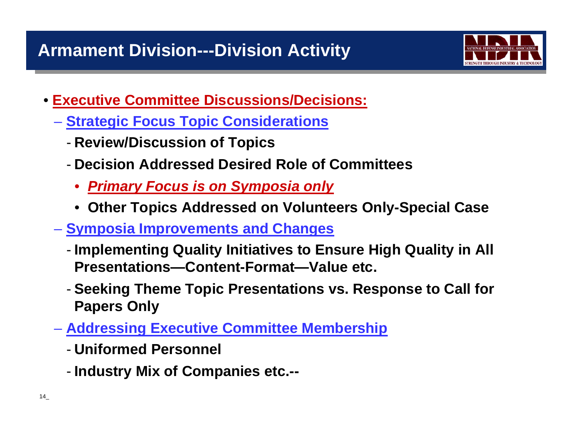

- **Executive Committee Discussions/Decisions:**
	- **Strategic Focus Topic Considerations**
		- -**Review/Discussion of Topics**
		- **Decision Addressed Desired Role of Committees**
			- *Primary Focus is on Symposia only*
			- **Other Topics Addressed on Volunteers Only-Special Case**
	- **Symposia Improvements and Changes**
		- - **Implementing Quality Initiatives to Ensure High Quality in All Presentations—Content-Format—Value etc.**
		- - **Seeking Theme Topic Presentations vs. Response to Call for Papers Only**
	- **Addressing Executive Committee Membership**
		- **Uniformed Personnel**
		- -**Industry Mix of Companies etc.--**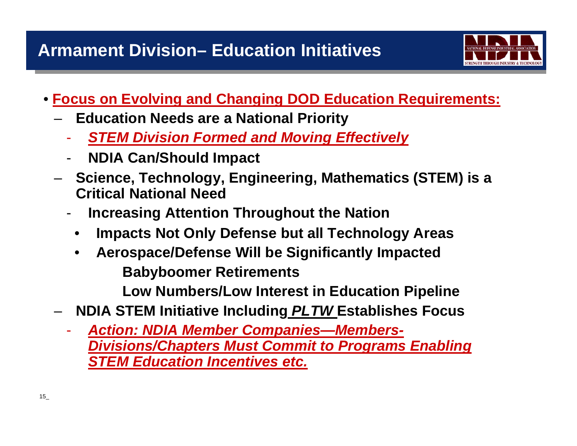

- **Focus on Evolving and Changing DOD Education Requirements:**
	- **Education Needs are a National Priority**
		- $\mathcal{L}_{\mathcal{A}}$ *STEM Division Formed and Moving Effectively*
		- -**NDIA Can/Should Impact**
	- **Science, Technology, Engineering, Mathematics (STEM) is a Critical National Need**
		- -**Increasing Attention Throughout the Nation**
		- •**Impacts Not Only Defense but all Technology Areas**
		- • **Aerospace/Defense Will be Significantly Impacted Babyboomer Retirements**

**Low Numbers/Low Interest in Education Pipeline**

- **NDIA STEM Initiative Including** *PLTW* **Establishes Focus**
	- $\mathcal{L}_{\mathcal{A}}$  *Action: NDIA Member Companies—Members-Divisions/Chapters Must Commit to Programs Enabling STEM Education Incentives etc.*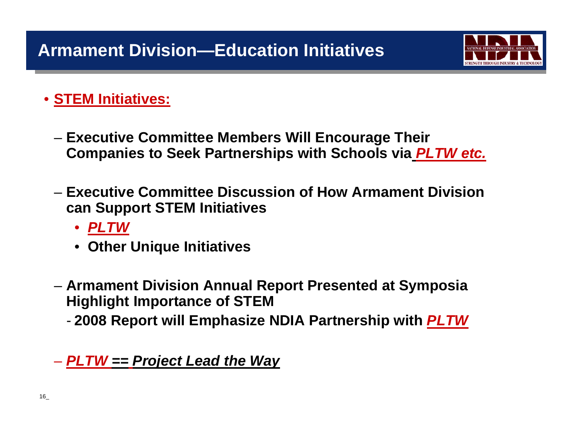

### • **STEM Initiatives:**

- **Executive Committee Members Will Encourage Their Companies to Seek Partnerships with Schools via** *PLTW etc.*
- **Executive Committee Discussion of How Armament Division can Support STEM Initiatives**
	- *PLTW*
	- **Other Unique Initiatives**
- **Armament Division Annual Report Presented at Symposia Highlight Importance of STEM**
	- -**2008 Report will Emphasize NDIA Partnership with** *PLTW*

## *PLTW == Project Lead the Way*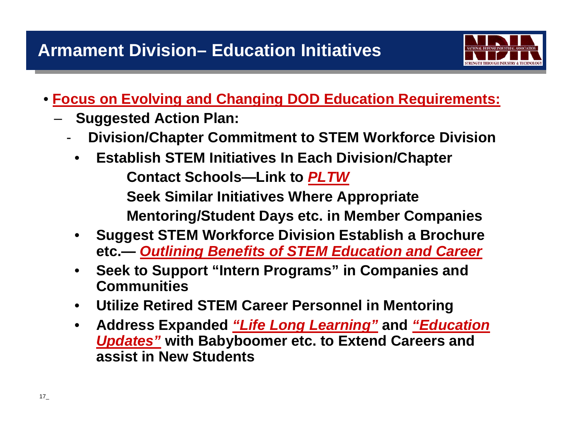

- **Focus on Evolving and Changing DOD Education Requirements:**
	- **Suggested Action Plan:**
		- -**Division/Chapter Commitment to STEM Workforce Division**
		- • **Establish STEM Initiatives In Each Division/Chapter Contact Schools—Link to** *PLTW* **Seek Similar Initiatives Where Appropriate Mentoring/Student Days etc. in Member Companies**
		- • **Suggest STEM Workforce Division Establish a Brochure etc.—** *Outlining Benefits of STEM Education and Career*
		- • **Seek to Support "Intern Programs" in Companies and Communities**
		- •**Utilize Retired STEM Career Personnel in Mentoring**
		- • **Address Expanded** *"Life Long Learning"* **and** *"Education Updates"* **with Babyboomer etc. to Extend Careers and assist in New Students**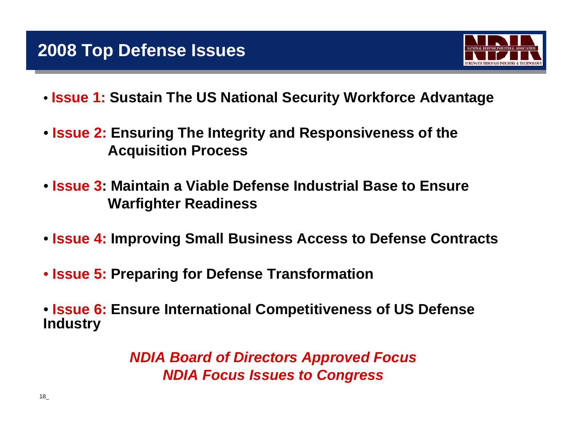

- **Issue 1: Sustain The US National Security Workforce Advantage**
- **Issue 2: Ensuring The Integrity and Responsiveness of the Acquisition Process**
- **Issue 3: Maintain a Viable Defense Industrial Base to Ensure Warfighter Readiness**
- **Issue 4: Improving Small Business Access to Defense Contracts**
- **Issue 5: Preparing for Defense Transformation**
- **Issue 6: Ensure International Competitiveness of US Defense Industry**

*NDIA Board of Directors Approved Focus NDIA Focus Issues to Congress*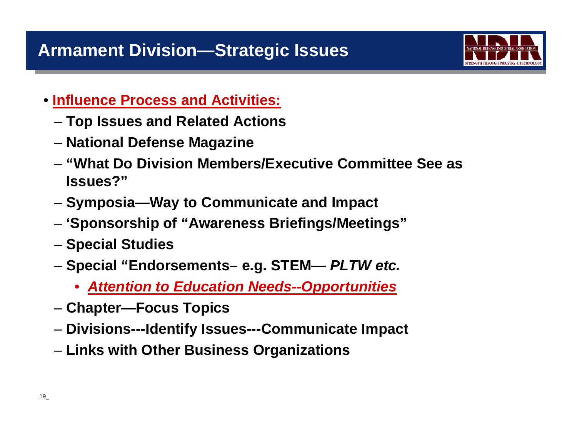

- **Influence Process and Activities:**
	- **Top Issues and Related Actions**
	- **National Defense Magazine**
	- **"What Do Division Members/Executive Committee See as Issues?"**
	- **Symposia—Way to Communicate and Impact**
	- **'Sponsorship of "Awareness Briefings/Meetings"**
	- **Special Studies**
	- **Special "Endorsements– e.g. STEM—** *PLTW etc.*
		- •*Attention to Education Needs--Opportunities*
	- **Chapter—Focus Topics**
	- **Divisions---Identify Issues---Communicate Impact**
	- **Links with Other Business Organizations**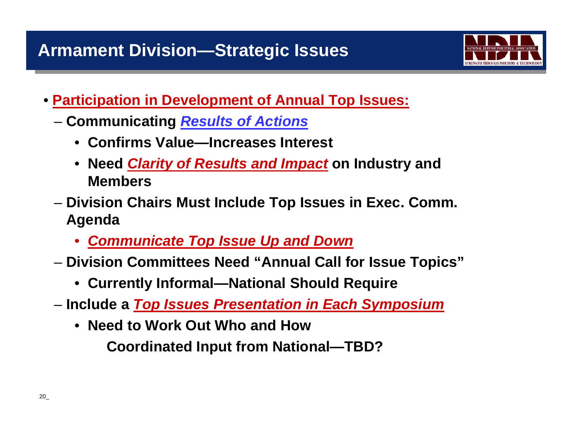

- **Participation in Development of Annual Top Issues:**
	- **Communicating** *Results of Actions*
		- **Confirms Value—Increases Interest**
		- **Need** *Clarity of Results and Impact* **on Industry and Members**
	- **Division Chairs Must Include Top Issues in Exec. Comm. Agenda**
		- *Communicate Top Issue Up and Down*
	- **Division Committees Need "Annual Call for Issue Topics"**
		- **Currently Informal—National Should Require**
	- **Include a** *Top Issues Presentation in Each Symposium*
		- **Need to Work Out Who and How**

**Coordinated Input from National—TBD?**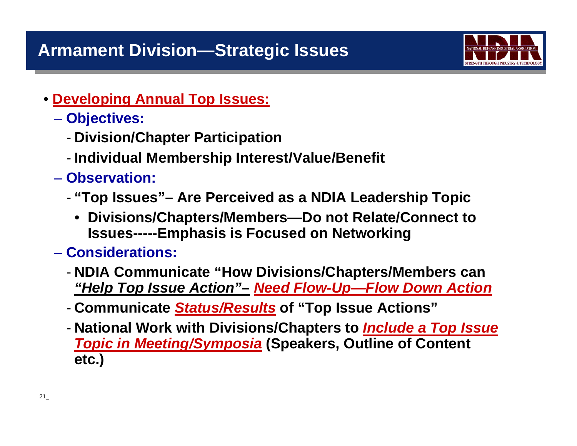

• **Developing Annual Top Issues:**

### **Objectives:**

- -**Division/Chapter Participation**
- -**Individual Membership Interest/Value/Benefit**
- **Observation:**
	- - **"Top Issues"– Are Perceived as a NDIA Leadership Topic**
		- **Divisions/Chapters/Members—Do not Relate/Connect to Issues-----Emphasis is Focused on Networking**

### – **Considerations:**

- - **NDIA Communicate "How Divisions/Chapters/Members can**  *"Help Top Issue Action"– Need Flow-Up—Flow Down Action*
- **Communicate** *Status/Results* **of "Top Issue Actions"**
- - **National Work with Divisions/Chapters to** *Include a Top Issue Topic in Meeting/Symposia* **(Speakers, Outline of Content etc.)**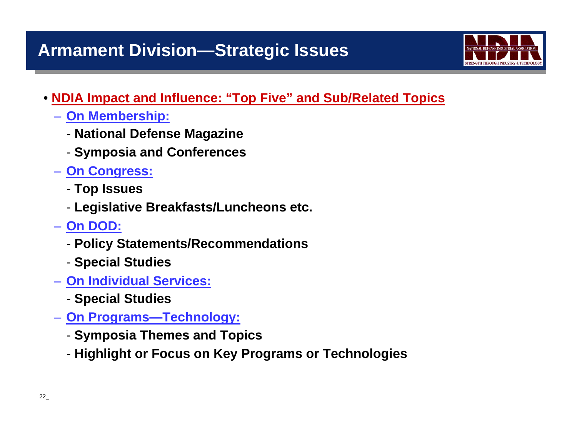# **Armament Division—Strategic Issues**



#### • **NDIA Impact and Influence: "Top Five" and Sub/Related Topics**

- **On Membership:**
	- **National Defense Magazine**
	- **Symposia and Conferences**
- **On Congress:**
	- **Top Issues**
	- **Legislative Breakfasts/Luncheons etc.**
- **On DOD:**
	- **Policy Statements/Recommendations**
	- **Special Studies**
- **On Individual Services:**
	- **Special Studies**
- **On Programs—Technology:**
	- **Symposia Themes and Topics**
	- **Highlight or Focus on Key Programs or Technologies**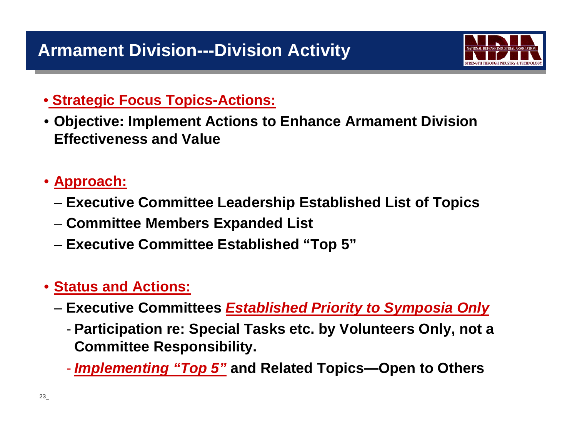

#### • **Strategic Focus Topics-Actions:**

- **Objective: Implement Actions to Enhance Armament Division Effectiveness and Value**
- **Approach:**
	- **Executive Committee Leadership Established List of Topics**
	- **Committee Members Expanded List**
	- **Executive Committee Established "Top 5"**

### • **Status and Actions:**

- **Executive Committees** *Established Priority to Symposia Only*
	- - **Participation re: Special Tasks etc. by Volunteers Only, not a Committee Responsibility.**
	- $\mathcal{L}_{\mathcal{A}}$ *Implementing "Top 5"* **and Related Topics—Open to Others**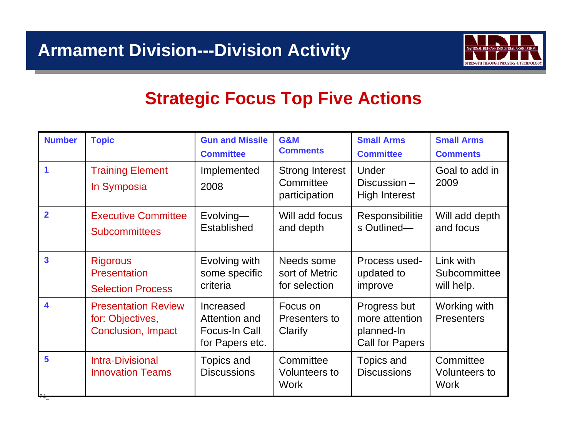

# **Strategic Focus Top Five Actions**

| <b>Number</b>           | <b>Topic</b>                                                                | <b>Gun and Missile</b><br><b>Committee</b>                     | <b>G&amp;M</b><br><b>Comments</b>                    | <b>Small Arms</b><br><b>Committee</b>                                  | <b>Small Arms</b><br><b>Comments</b>             |
|-------------------------|-----------------------------------------------------------------------------|----------------------------------------------------------------|------------------------------------------------------|------------------------------------------------------------------------|--------------------------------------------------|
| 1                       | <b>Training Element</b><br>In Symposia                                      | Implemented<br>2008                                            | <b>Strong Interest</b><br>Committee<br>participation | Under<br>Discussion $-$<br><b>High Interest</b>                        | Goal to add in<br>2009                           |
| $\overline{2}$          | <b>Executive Committee</b><br><b>Subcommittees</b>                          | Evolving-<br>Established                                       | Will add focus<br>and depth                          | Responsibilitie<br>s Outlined-                                         | Will add depth<br>and focus                      |
| $\overline{\mathbf{3}}$ | <b>Rigorous</b><br>Presentation<br><b>Selection Process</b>                 | Evolving with<br>some specific<br>criteria                     | Needs some<br>sort of Metric<br>for selection        | Process used-<br>updated to<br>improve                                 | Link with<br>Subcommittee<br>will help.          |
| 4                       | <b>Presentation Review</b><br>for: Objectives,<br><b>Conclusion, Impact</b> | Increased<br>Attention and<br>Focus-In Call<br>for Papers etc. | Focus on<br>Presenters to<br>Clarify                 | Progress but<br>more attention<br>planned-In<br><b>Call for Papers</b> | Working with<br><b>Presenters</b>                |
| 5                       | <b>Intra-Divisional</b><br><b>Innovation Teams</b>                          | Topics and<br><b>Discussions</b>                               | Committee<br><b>Volunteers to</b><br><b>Work</b>     | Topics and<br><b>Discussions</b>                                       | Committee<br><b>Volunteers to</b><br><b>Work</b> |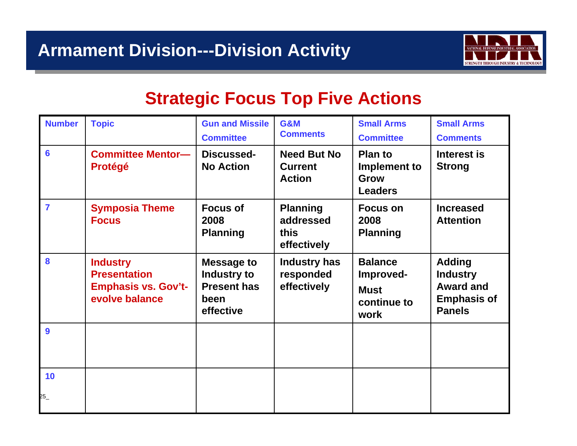

# **Strategic Focus Top Five Actions**

| <b>Number</b>  | <b>Topic</b>                                                                           | <b>Gun and Missile</b><br><b>Committee</b>                                  | <b>G&amp;M</b><br><b>Comments</b>                     | <b>Small Arms</b><br><b>Committee</b>                             | <b>Small Arms</b><br><b>Comments</b>                                                        |
|----------------|----------------------------------------------------------------------------------------|-----------------------------------------------------------------------------|-------------------------------------------------------|-------------------------------------------------------------------|---------------------------------------------------------------------------------------------|
| $6\phantom{a}$ | <b>Committee Mentor-</b><br><b>Protégé</b>                                             | Discussed-<br><b>No Action</b>                                              | <b>Need But No</b><br><b>Current</b><br><b>Action</b> | <b>Plan to</b><br>Implement to<br><b>Grow</b><br><b>Leaders</b>   | Interest is<br><b>Strong</b>                                                                |
| $\overline{7}$ | <b>Symposia Theme</b><br><b>Focus</b>                                                  | <b>Focus of</b><br>2008<br><b>Planning</b>                                  | <b>Planning</b><br>addressed<br>this<br>effectively   | <b>Focus on</b><br>2008<br><b>Planning</b>                        | <b>Increased</b><br><b>Attention</b>                                                        |
| 8              | <b>Industry</b><br><b>Presentation</b><br><b>Emphasis vs. Gov't-</b><br>evolve balance | <b>Message to</b><br>Industry to<br><b>Present has</b><br>been<br>effective | Industry has<br>responded<br>effectively              | <b>Balance</b><br>Improved-<br><b>Must</b><br>continue to<br>work | <b>Adding</b><br><b>Industry</b><br><b>Award and</b><br><b>Emphasis of</b><br><b>Panels</b> |
| 9              |                                                                                        |                                                                             |                                                       |                                                                   |                                                                                             |
| 10<br>25       |                                                                                        |                                                                             |                                                       |                                                                   |                                                                                             |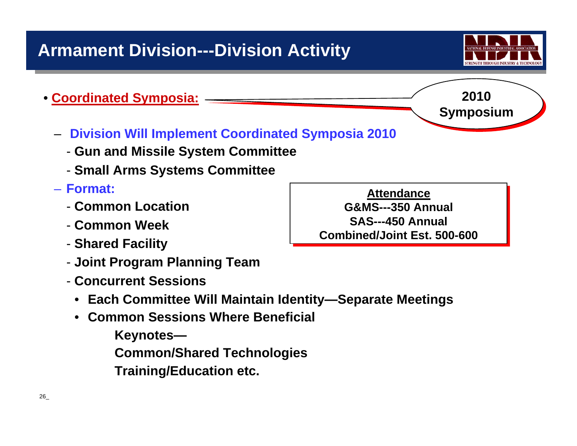

**2010 2010** 

**Symposium Symposium**

#### •**Coordinated Symposia:**

- **Division Will Implement Coordinated Symposia 2010**
	- **Gun and Missile System Committee**
	- **Small Arms Systems Committee**

#### – **Format:**

- **Common Location**
- **Common Week**
- **Shared Facility**
- **Joint Program Planning Team**
- **Concurrent Sessions**
	- **Each Committee Will Maintain Identity—Separate Meetings**
	- **Common Sessions Where Beneficial**

**Keynotes—**

**Common/Shared Technologies**

**Training/Education etc.**

**Attendance G&MS---350 Annual G&MS---350 Annual SAS---450 Annual SAS---450 Annual Combined/Joint Est. 500-600Combined/Joint Est. 500-600**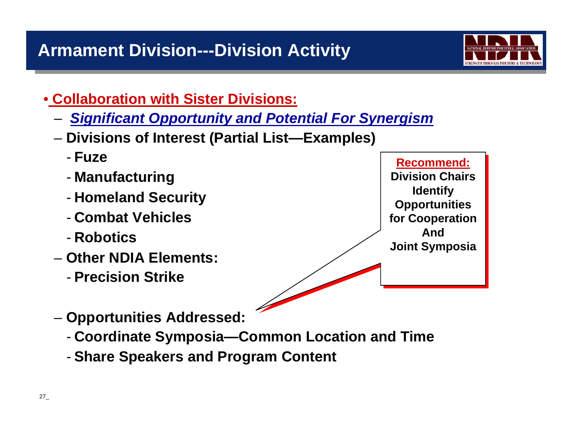

- **Collaboration with Sister Divisions:**
	- *Significant Opportunity and Potential For Synergism*
	- **Divisions of Interest (Partial List—Examples)**
		- **Fuze**
		- -**Manufacturing**
		- -**Homeland Security**
		- **Combat Vehicles**
		- **Robotics**
	- **Other NDIA Elements:**
		- **Precision Strike**

**Recommend:Recommend: Division Chairs Division Chairs Identify Identify Opportunities Opportunities for Cooperation for Cooperation AndAndJoint Symposia Joint Symposia**

- **Opportunities Addressed:**
	- -**Coordinate Symposia—Common Location and Time**
	- -**Share Speakers and Program Content**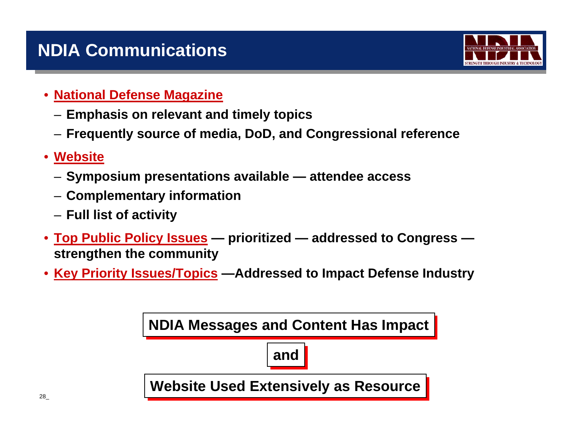# **NDIA Communications**



#### •**National Defense Magazine**

- **Emphasis on relevant and timely topics**
- **Frequently source of media, DoD, and Congressional reference**
- • **Website**
	- **Symposium presentations available — attendee access**
	- **Complementary information**
	- **Full list of activity**
- **Top Public Policy Issues — prioritized — addressed to Congress strengthen the community**
- **Key Priority Issues/Topics —Addressed to Impact Defense Industry**

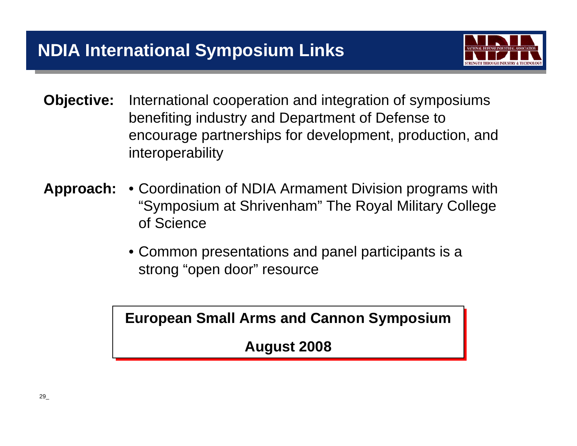

- **Objective:** International cooperation and integration of symposiums benefiting industry and Department of Defense to encourage partnerships for development, production, and interoperability
- **Approach:** Coordination of NDIA Armament Division programs with "Symposium at Shrivenham" The Royal Military College of Science
	- Common presentations and panel participants is a strong "open door" resource

**European Small Arms and Cannon Symposium European Small Arms and Cannon Symposium**

**August 2008 August 2008**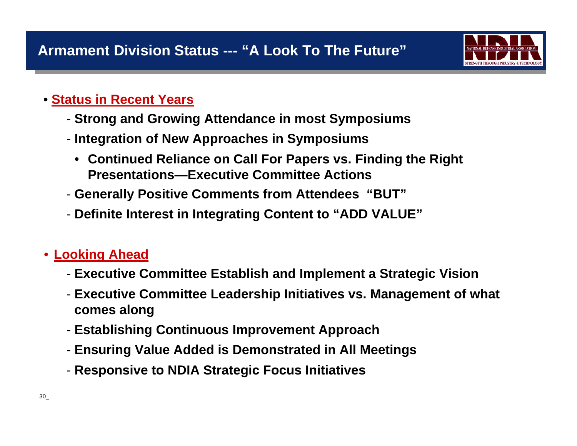

#### • **Status in Recent Years**

- **Strong and Growing Attendance in most Symposiums**
- **Integration of New Approaches in Symposiums**
	- **Continued Reliance on Call For Papers vs. Finding the Right Presentations—Executive Committee Actions**
- **Generally Positive Comments from Attendees "BUT"**
- **Definite Interest in Integrating Content to "ADD VALUE"**

#### •**Looking Ahead**

- **Executive Committee Establish and Implement a Strategic Vision**
- **Executive Committee Leadership Initiatives vs. Management of what comes along**
- **Establishing Continuous Improvement Approach**
- **Ensuring Value Added is Demonstrated in All Meetings**
- **Responsive to NDIA Strategic Focus Initiatives**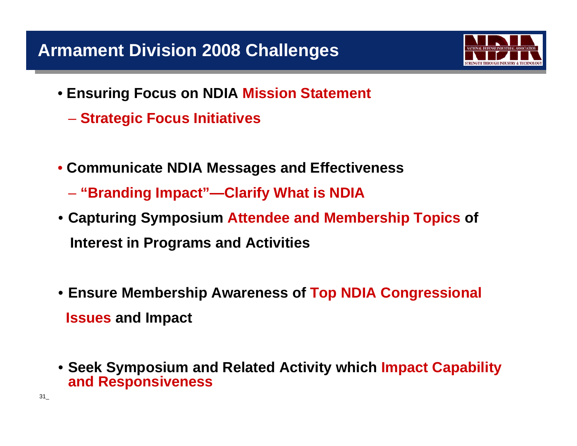# **Armament Division 2008 Challenges**

- **Ensuring Focus on NDIA Mission Statement**
	- **Strategic Focus Initiatives**
- **Communicate NDIA Messages and Effectiveness**
	- **"Branding Impact"—Clarify What is NDIA**
- **Capturing Symposium Attendee and Membership Topics of Interest in Programs and Activities**
- **Ensure Membership Awareness of Top NDIA Congressional Issues and Impact**
- **Seek Symposium and Related Activity which Impact Capability and Responsiveness**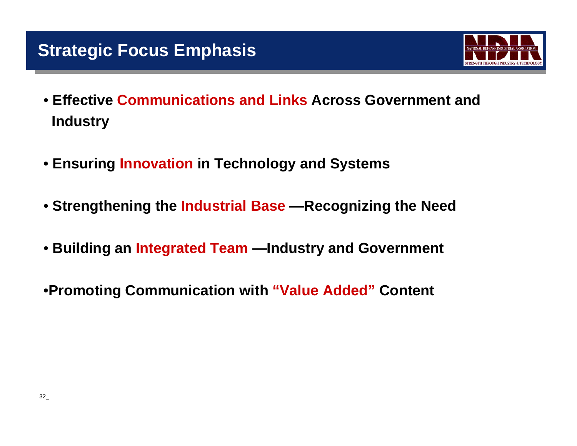

- **Effective Communications and Links Across Government and Industry**
- **Ensuring Innovation in Technology and Systems**
- **Strengthening the Industrial Base —Recognizing the Need**
- **Building an Integrated Team —Industry and Government**
- •**Promoting Communication with "Value Added" Content**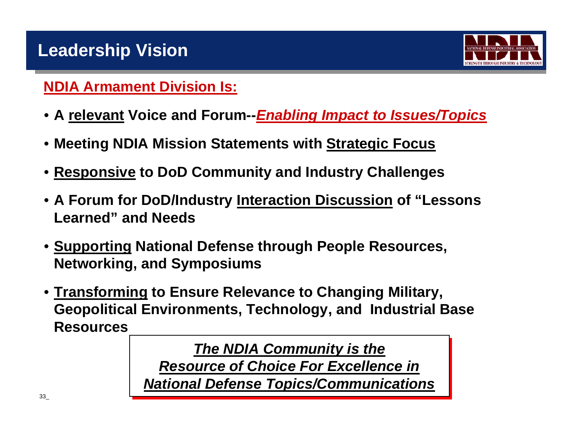

## **NDIA Armament Division Is:**

- **A relevant Voice and Forum--***Enabling Impact to Issues/Topics*
- **Meeting NDIA Mission Statements with Strategic Focus**
- •**Responsive to DoD Community and Industry Challenges**
- **A Forum for DoD/Industry Interaction Discussion of "Lessons Learned" and Needs**
- **Supporting National Defense through People Resources, Networking, and Symposiums**
- **Transforming to Ensure Relevance to Changing Military, Geopolitical Environments, Technology, and Industrial Base Resources**

*The NDIA Community is the The NDIA Community is the Resource of Choice For Excellence inResource of Choice For Excellence in National Defense Topics/Communications National Defense Topics/Communications*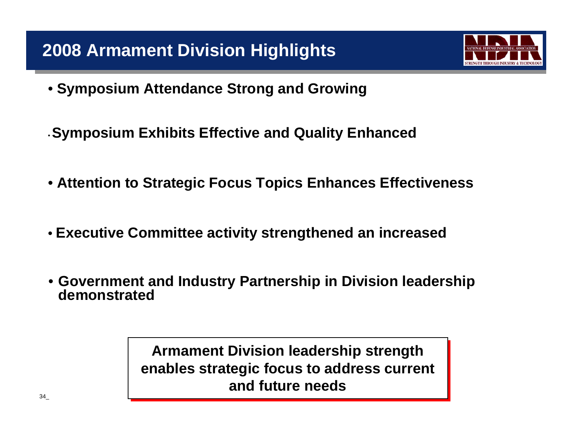

- **Symposium Attendance Strong and Growing**
- •**Symposium Exhibits Effective and Quality Enhanced**
- **Attention to Strategic Focus Topics Enhances Effectiveness**
- **Executive Committee activity strengthened an increased**
- **Government and Industry Partnership in Division leadership demonstrated**

**Armament Division leadership strength Armament Division leadership strength enables strategic focus to address current enables strategic focus to address current and future needsand future needs**